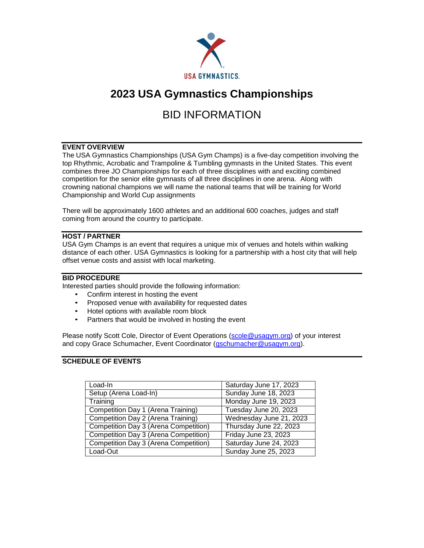

# **2023 USA Gymnastics Championships**

# BID INFORMATION

### **EVENT OVERVIEW**

The USA Gymnastics Championships (USA Gym Champs) is a five-day competition involving the top Rhythmic, Acrobatic and Trampoline & Tumbling gymnasts in the United States. This event combines three JO Championships for each of three disciplines with and exciting combined competition for the senior elite gymnasts of all three disciplines in one arena. Along with crowning national champions we will name the national teams that will be training for World Championship and World Cup assignments

There will be approximately 1600 athletes and an additional 600 coaches, judges and staff coming from around the country to participate.

## **HOST / PARTNER**

USA Gym Champs is an event that requires a unique mix of venues and hotels within walking distance of each other. USA Gymnastics is looking for a partnership with a host city that will help offset venue costs and assist with local marketing.

## **BID PROCEDURE**

Interested parties should provide the following information:

- Confirm interest in hosting the event<br>• Proposed venue with availability for r
- Proposed venue with availability for requested dates
- Hotel options with available room block
- Partners that would be involved in hosting the event

Please notify Scott Cole, Director of Event Operations (scole@usagym.org) of your interest and copy Grace Schumacher, Event Coordinator [\(gschumacher@usagym.org\)](mailto:gschumacher@usagym.org).

### **SCHEDULE OF EVENTS**

| Load-In                               | Saturday June 17, 2023  |  |  |  |
|---------------------------------------|-------------------------|--|--|--|
| Setup (Arena Load-In)                 | Sunday June 18, 2023    |  |  |  |
| Training                              | Monday June 19, 2023    |  |  |  |
| Competition Day 1 (Arena Training)    | Tuesday June 20, 2023   |  |  |  |
| Competition Day 2 (Arena Training)    | Wednesday June 21, 2023 |  |  |  |
| Competition Day 3 (Arena Competition) | Thursday June 22, 2023  |  |  |  |
| Competition Day 3 (Arena Competition) | Friday June 23, 2023    |  |  |  |
| Competition Day 3 (Arena Competition) | Saturday June 24, 2023  |  |  |  |
| Load-Out                              | Sunday June 25, 2023    |  |  |  |